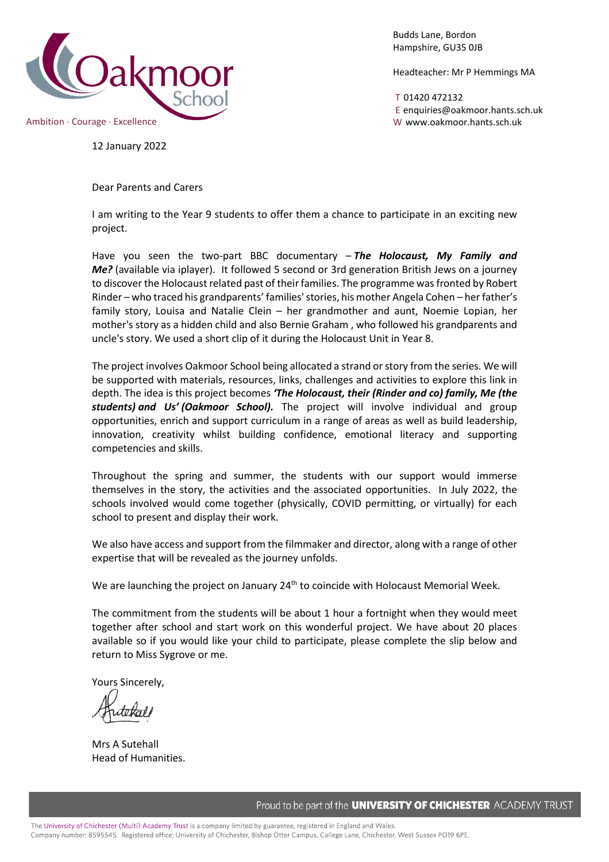

Budds Lane, Bordon Hampshire, GU35 0JB

Headteacher: Mr P Hemmings MA

T 01420 472132 E enquiries@oakmoor.hants.sch.uk

12 January 2022

Dear Parents and Carers

I am writing to the Year 9 students to offer them a chance to participate in an exciting new project.

Have you seen the two-part BBC documentary – *The Holocaust, My Family and Me?* (available via iplayer). It followed 5 second or 3rd generation British Jews on a journey to discover the Holocaust related past of their families. The programme was fronted by Robert Rinder – who traced his grandparents' families' stories, his mother Angela Cohen – her father's family story, Louisa and Natalie Clein – her grandmother and aunt, Noemie Lopian, her mother's story as a hidden child and also Bernie Graham , who followed his grandparents and uncle's story. We used a short clip of it during the Holocaust Unit in Year 8.

The project involves Oakmoor School being allocated a strand or story from the series. We will be supported with materials, resources, links, challenges and activities to explore this link in depth. The idea is this project becomes *'The Holocaust, their (Rinder and co) family, Me (the students) and Us' (Oakmoor School).* The project will involve individual and group opportunities, enrich and support curriculum in a range of areas as well as build leadership, innovation, creativity whilst building confidence, emotional literacy and supporting competencies and skills.

Throughout the spring and summer, the students with our support would immerse themselves in the story, the activities and the associated opportunities. In July 2022, the schools involved would come together (physically, COVID permitting, or virtually) for each school to present and display their work.

We also have access and support from the filmmaker and director, along with a range of other expertise that will be revealed as the journey unfolds.

We are launching the project on January  $24<sup>th</sup>$  to coincide with Holocaust Memorial Week.

The commitment from the students will be about 1 hour a fortnight when they would meet together after school and start work on this wonderful project. We have about 20 places available so if you would like your child to participate, please complete the slip below and return to Miss Sygrove or me.

Yours Sincerely,

Mrs A Sutehall Head of Humanities.

Proud to be part of the **UNIVERSITY OF CHICHESTER** ACADEMY TRUST